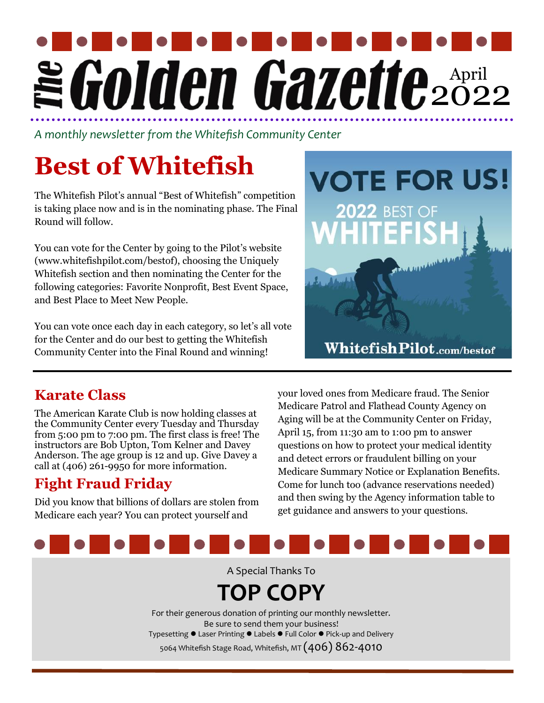# April  $2022$

*A monthly newsletter from the Whitefish Community Center*

## **Best of Whitefish**

The Whitefish Pilot's annual "Best of Whitefish" competition is taking place now and is in the nominating phase. The Final Round will follow.

You can vote for the Center by going to the Pilot's website (www.whitefishpilot.com/bestof), choosing the Uniquely Whitefish section and then nominating the Center for the following categories: Favorite Nonprofit, Best Event Space, and Best Place to Meet New People.

You can vote once each day in each category, so let's all vote for the Center and do our best to getting the Whitefish Community Center into the Final Round and winning!



### **Karate Class**

The American Karate Club is now holding classes at the Community Center every Tuesday and Thursday from 5:00 pm to 7:00 pm. The first class is free! The instructors are Bob Upton, Tom Kelner and Davey Anderson. The age group is 12 and up. Give Davey a call at (406) 261-9950 for more information.

### **Fight Fraud Friday**

Did you know that billions of dollars are stolen from Medicare each year? You can protect yourself and

your loved ones from Medicare fraud. The Senior Medicare Patrol and Flathead County Agency on Aging will be at the Community Center on Friday, April 15, from 11:30 am to 1:00 pm to answer questions on how to protect your medical identity and detect errors or fraudulent billing on your Medicare Summary Notice or Explanation Benefits. Come for lunch too (advance reservations needed) and then swing by the Agency information table to get guidance and answers to your questions.



A Special Thanks To

### **TOP COPY**

For their generous donation of printing our monthly newsletter. Be sure to send them your business! Typesetting ⚫ Laser Printing ⚫ Labels ⚫ Full Color ⚫ Pick-up and Delivery 5064 Whitefish Stage Road, Whitefish, MT  $(406)$   $86$ 2- $4010$